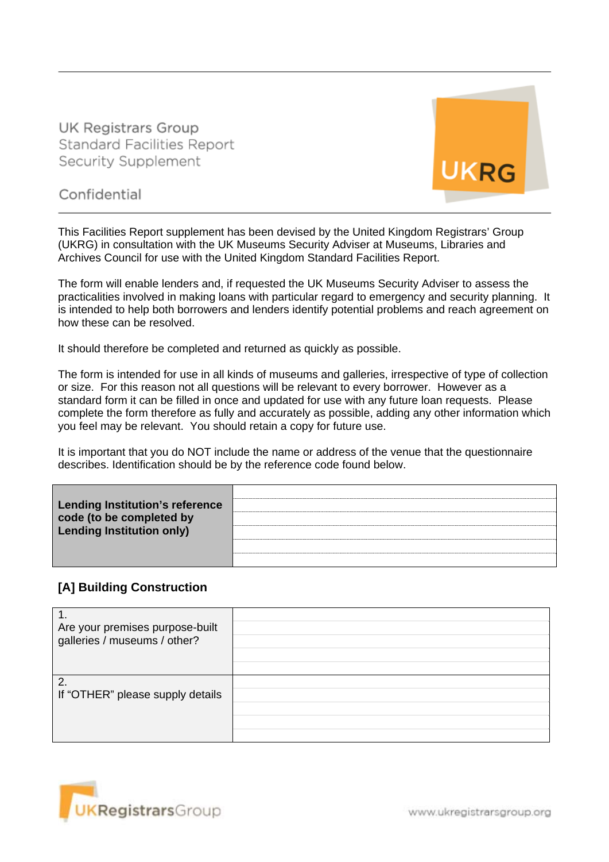**UK Registrars Group Standard Facilities Report** Security Supplement



Confidential

This Facilities Report supplement has been devised by the United Kingdom Registrars' Group (UKRG) in consultation with the UK Museums Security Adviser at Museums, Libraries and Archives Council for use with the United Kingdom Standard Facilities Report.

The form will enable lenders and, if requested the UK Museums Security Adviser to assess the practicalities involved in making loans with particular regard to emergency and security planning. It is intended to help both borrowers and lenders identify potential problems and reach agreement on how these can be resolved.

It should therefore be completed and returned as quickly as possible.

The form is intended for use in all kinds of museums and galleries, irrespective of type of collection or size. For this reason not all questions will be relevant to every borrower. However as a standard form it can be filled in once and updated for use with any future loan requests. Please complete the form therefore as fully and accurately as possible, adding any other information which you feel may be relevant. You should retain a copy for future use.

It is important that you do NOT include the name or address of the venue that the questionnaire describes. Identification should be by the reference code found below.

| <b>Lending Institution's reference</b><br>code (to be completed by<br><b>Lending Institution only)</b> |  |
|--------------------------------------------------------------------------------------------------------|--|
|                                                                                                        |  |
|                                                                                                        |  |

### **[A] Building Construction**

| Are your premises purpose-built  |  |
|----------------------------------|--|
| galleries / museums / other?     |  |
|                                  |  |
| $\overline{2}$                   |  |
| If "OTHER" please supply details |  |
|                                  |  |
|                                  |  |
|                                  |  |



www.ukregistrarsgroup.org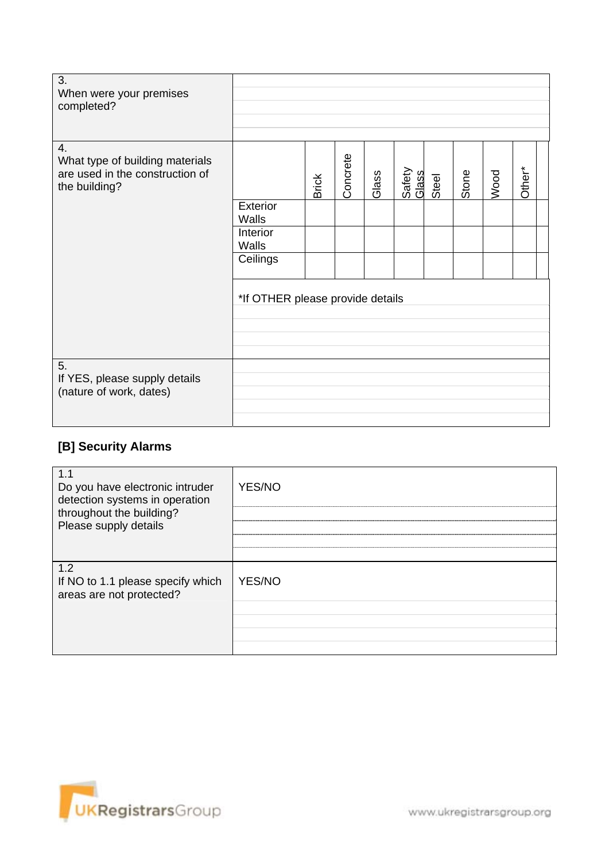| 3.<br>When were your premises<br>completed?                                               |                                  |              |          |       |                 |       |       |      |        |
|-------------------------------------------------------------------------------------------|----------------------------------|--------------|----------|-------|-----------------|-------|-------|------|--------|
| 4.<br>What type of building materials<br>are used in the construction of<br>the building? |                                  | <b>Brick</b> | Concrete | Glass | Safety<br>Glass | Steel | Stone | Wood | Other* |
|                                                                                           | Exterior<br>Walls                |              |          |       |                 |       |       |      |        |
|                                                                                           | Interior<br>Walls                |              |          |       |                 |       |       |      |        |
|                                                                                           | Ceilings                         |              |          |       |                 |       |       |      |        |
|                                                                                           | *If OTHER please provide details |              |          |       |                 |       |       |      |        |
| 5.<br>If YES, please supply details<br>(nature of work, dates)                            |                                  |              |          |       |                 |       |       |      |        |

# **[B] Security Alarms**

| 1.1<br>Do you have electronic intruder<br>detection systems in operation<br>throughout the building?<br>Please supply details | YES/NO        |
|-------------------------------------------------------------------------------------------------------------------------------|---------------|
| 1.2<br>If NO to 1.1 please specify which<br>areas are not protected?                                                          | <b>YES/NO</b> |

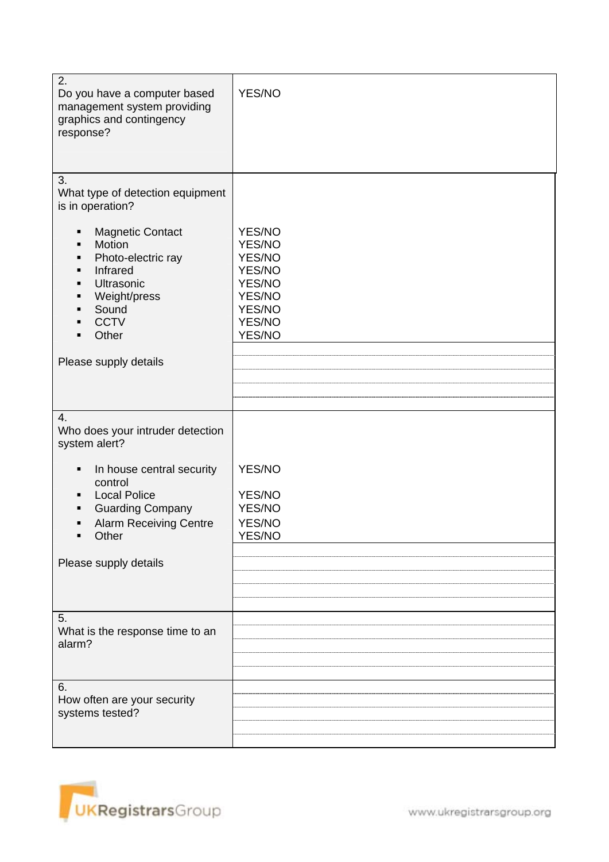| 2.<br>Do you have a computer based<br>management system providing<br>graphics and contingency<br>response?                                                                                                                             | YES/NO                                                                                 |
|----------------------------------------------------------------------------------------------------------------------------------------------------------------------------------------------------------------------------------------|----------------------------------------------------------------------------------------|
| 3.<br>What type of detection equipment<br>is in operation?<br><b>Magnetic Contact</b><br>٠<br>Motion<br>$\blacksquare$<br>Photo-electric ray<br>Infrared<br>٠<br>Ultrasonic<br>٠<br>Weight/press<br>٠<br>Sound<br><b>CCTV</b><br>Other | YES/NO<br>YES/NO<br>YES/NO<br>YES/NO<br>YES/NO<br>YES/NO<br>YES/NO<br>YES/NO<br>YES/NO |
| Please supply details                                                                                                                                                                                                                  |                                                                                        |
| 4.<br>Who does your intruder detection<br>system alert?<br>In house central security<br>٠<br>control<br><b>Local Police</b><br><b>Guarding Company</b><br><b>Alarm Receiving Centre</b><br>٠<br>Other<br>٠<br>Please supply details    | YES/NO<br>YES/NO<br>YES/NO<br>YES/NO<br>YES/NO                                         |
| 5.<br>What is the response time to an<br>alarm?                                                                                                                                                                                        |                                                                                        |
| 6.<br>How often are your security<br>systems tested?                                                                                                                                                                                   |                                                                                        |

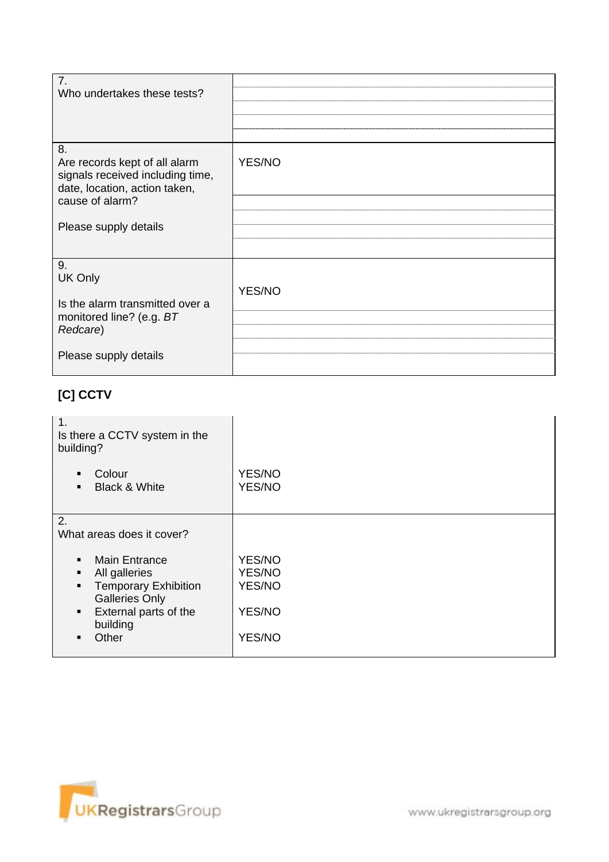| 7.<br>Who undertakes these tests?                                                                                           |        |
|-----------------------------------------------------------------------------------------------------------------------------|--------|
| 8.<br>Are records kept of all alarm<br>signals received including time,<br>date, location, action taken,<br>cause of alarm? | YES/NO |
| Please supply details                                                                                                       |        |
|                                                                                                                             |        |
| 9.<br>UK Only<br>Is the alarm transmitted over a                                                                            | YES/NO |
| monitored line? (e.g. BT<br>Redcare)                                                                                        |        |
| Please supply details                                                                                                       |        |

## **[C] CCTV**

| 1.<br>Is there a CCTV system in the<br>building?                                                                                                              |                                                |
|---------------------------------------------------------------------------------------------------------------------------------------------------------------|------------------------------------------------|
| Colour<br>$\blacksquare$<br><b>Black &amp; White</b><br>$\blacksquare$                                                                                        | YES/NO<br>YES/NO                               |
| 2.<br>What areas does it cover?                                                                                                                               |                                                |
| <b>Main Entrance</b><br>All galleries<br><b>Temporary Exhibition</b><br><b>Galleries Only</b><br>External parts of the<br>$\blacksquare$<br>building<br>Other | YES/NO<br>YES/NO<br>YES/NO<br>YES/NO<br>YES/NO |

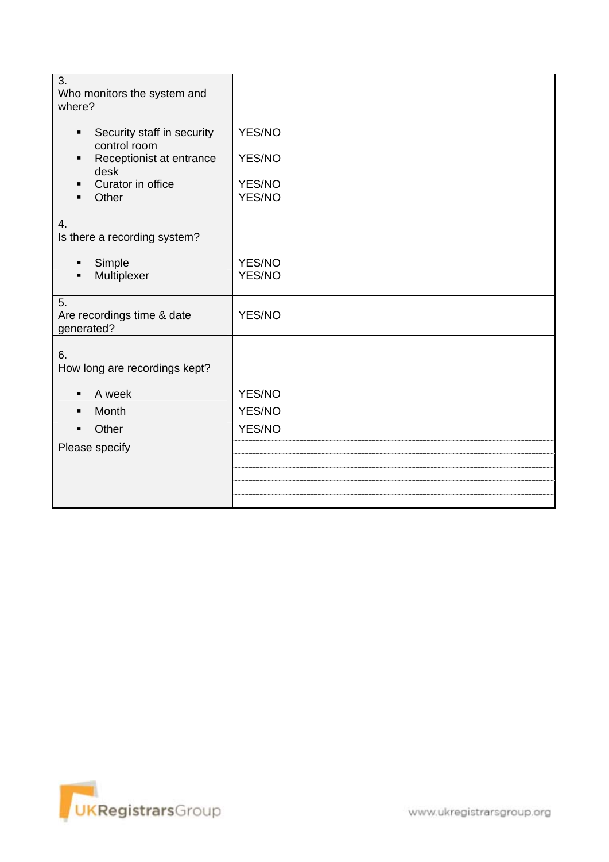| 3.<br>Who monitors the system and<br>where?                                                                       |                                      |
|-------------------------------------------------------------------------------------------------------------------|--------------------------------------|
| Security staff in security<br>٠<br>control room<br>Receptionist at entrance<br>desk<br>Curator in office<br>Other | YES/NO<br>YES/NO<br>YES/NO<br>YES/NO |
| 4.<br>Is there a recording system?                                                                                |                                      |
| Simple<br>$\blacksquare$<br>Multiplexer                                                                           | YES/NO<br>YES/NO                     |
| 5.<br>Are recordings time & date<br>generated?                                                                    | YES/NO                               |
| 6.<br>How long are recordings kept?                                                                               |                                      |
| A week                                                                                                            | YES/NO                               |
| Month                                                                                                             | YES/NO                               |
| Other                                                                                                             | YES/NO                               |
| Please specify                                                                                                    |                                      |
|                                                                                                                   |                                      |
|                                                                                                                   |                                      |
|                                                                                                                   |                                      |

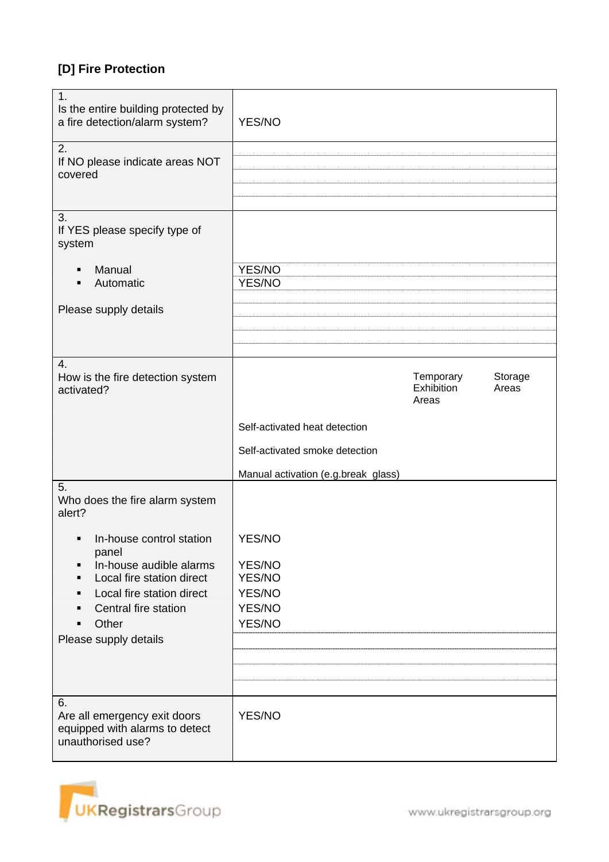## **[D] Fire Protection**

| $\mathbf{1}$ .<br>Is the entire building protected by<br>a fire detection/alarm system?<br>2. | YES/NO                              |                                  |                  |
|-----------------------------------------------------------------------------------------------|-------------------------------------|----------------------------------|------------------|
| If NO please indicate areas NOT<br>covered                                                    |                                     |                                  |                  |
|                                                                                               |                                     |                                  |                  |
| 3.<br>If YES please specify type of<br>system                                                 |                                     |                                  |                  |
|                                                                                               |                                     |                                  |                  |
| Manual<br>Automatic                                                                           | YES/NO<br>YES/NO                    |                                  |                  |
| Please supply details                                                                         |                                     |                                  |                  |
|                                                                                               |                                     |                                  |                  |
|                                                                                               |                                     |                                  |                  |
| 4.                                                                                            |                                     |                                  |                  |
| How is the fire detection system<br>activated?                                                |                                     | Temporary<br>Exhibition<br>Areas | Storage<br>Areas |
|                                                                                               | Self-activated heat detection       |                                  |                  |
|                                                                                               | Self-activated smoke detection      |                                  |                  |
|                                                                                               | Manual activation (e.g.break glass) |                                  |                  |
| 5.<br>Who does the fire alarm system<br>alert?                                                |                                     |                                  |                  |
| In-house control station<br>٠                                                                 | YES/NO                              |                                  |                  |
| panel<br>In-house audible alarms                                                              | YES/NO                              |                                  |                  |
| Local fire station direct                                                                     | YES/NO                              |                                  |                  |
| Local fire station direct                                                                     | YES/NO                              |                                  |                  |
| Central fire station                                                                          | YES/NO                              |                                  |                  |
| Other                                                                                         | YES/NO                              |                                  |                  |
| Please supply details                                                                         |                                     |                                  |                  |
|                                                                                               |                                     |                                  |                  |
|                                                                                               |                                     |                                  |                  |
|                                                                                               |                                     |                                  |                  |
|                                                                                               |                                     |                                  |                  |
| 6.<br>Are all emergency exit doors<br>equipped with alarms to detect<br>unauthorised use?     | YES/NO                              |                                  |                  |

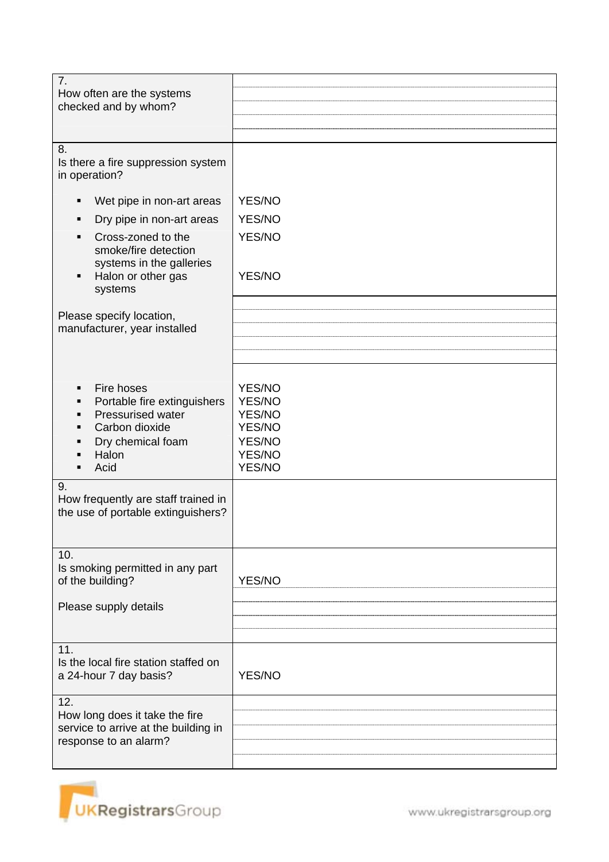| $\overline{7}$ .<br>How often are the systems<br>checked and by whom?                                                                                                      |                                                                    |
|----------------------------------------------------------------------------------------------------------------------------------------------------------------------------|--------------------------------------------------------------------|
| 8.<br>Is there a fire suppression system<br>in operation?                                                                                                                  |                                                                    |
| Wet pipe in non-art areas<br>п<br>Dry pipe in non-art areas<br>Cross-zoned to the<br>smoke/fire detection<br>systems in the galleries<br>Halon or other gas<br>systems     | YES/NO<br>YES/NO<br>YES/NO<br>YES/NO                               |
| Please specify location,<br>manufacturer, year installed                                                                                                                   |                                                                    |
| Fire hoses<br>Portable fire extinguishers<br><b>Pressurised water</b><br>Carbon dioxide<br>Dry chemical foam<br>Halon<br>Acid<br>9.<br>How frequently are staff trained in | YES/NO<br>YES/NO<br>YES/NO<br>YES/NO<br>YES/NO<br>YES/NO<br>YES/NO |
| the use of portable extinguishers?                                                                                                                                         |                                                                    |
| 10.<br>Is smoking permitted in any part<br>of the building?<br>Please supply details                                                                                       | YES/NO                                                             |
| 11.<br>Is the local fire station staffed on<br>a 24-hour 7 day basis?                                                                                                      | YES/NO                                                             |
| 12.<br>How long does it take the fire<br>service to arrive at the building in<br>response to an alarm?                                                                     |                                                                    |

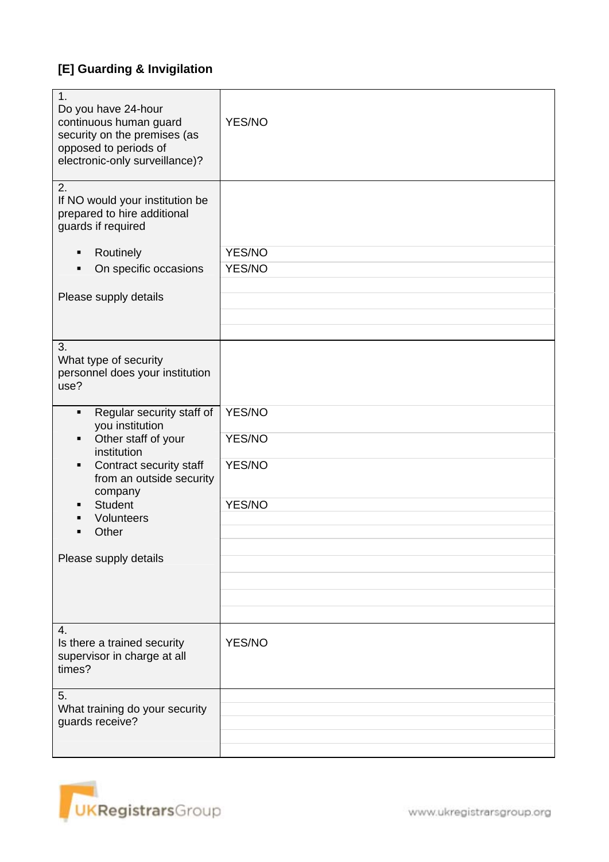## **[E] Guarding & Invigilation**

| 1.<br>Do you have 24-hour<br>continuous human guard<br>security on the premises (as<br>opposed to periods of<br>electronic-only surveillance)? | YES/NO |
|------------------------------------------------------------------------------------------------------------------------------------------------|--------|
|                                                                                                                                                |        |
| 2.<br>If NO would your institution be<br>prepared to hire additional<br>guards if required                                                     |        |
| Routinely<br>п                                                                                                                                 | YES/NO |
|                                                                                                                                                |        |
| On specific occasions                                                                                                                          | YES/NO |
|                                                                                                                                                |        |
| Please supply details                                                                                                                          |        |
|                                                                                                                                                |        |
|                                                                                                                                                |        |
| 3.<br>What type of security<br>personnel does your institution<br>use?                                                                         |        |
| Regular security staff of<br>$\blacksquare$<br>you institution                                                                                 | YES/NO |
| Other staff of your<br>institution                                                                                                             | YES/NO |
| Contract security staff<br>from an outside security<br>company                                                                                 | YES/NO |
| <b>Student</b>                                                                                                                                 | YES/NO |
| Volunteers                                                                                                                                     |        |
| Other                                                                                                                                          |        |
|                                                                                                                                                |        |
| Please supply details                                                                                                                          |        |
|                                                                                                                                                |        |
|                                                                                                                                                |        |
|                                                                                                                                                |        |
|                                                                                                                                                |        |
| $\overline{4}$ .<br>Is there a trained security<br>supervisor in charge at all<br>times?                                                       | YES/NO |
| 5.                                                                                                                                             |        |
| What training do your security                                                                                                                 |        |
| guards receive?                                                                                                                                |        |
|                                                                                                                                                |        |
|                                                                                                                                                |        |

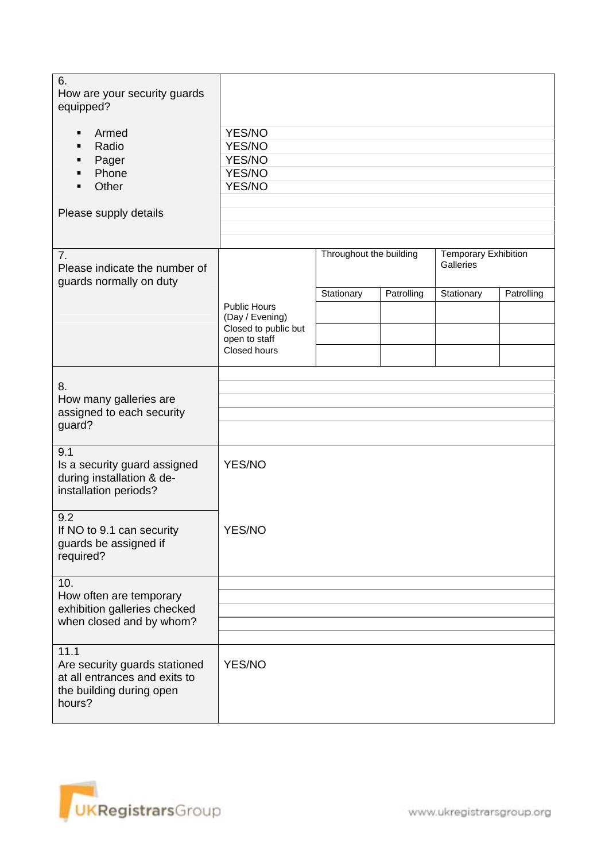| 6.<br>How are your security guards<br>equipped?<br>Armed<br>п<br>Radio<br>Pager<br>п<br>Phone<br>$\blacksquare$<br>Other<br>Please supply details | YES/NO<br>YES/NO<br>YES/NO<br>YES/NO<br>YES/NO                                  |                                                                     |            |            |            |
|---------------------------------------------------------------------------------------------------------------------------------------------------|---------------------------------------------------------------------------------|---------------------------------------------------------------------|------------|------------|------------|
|                                                                                                                                                   |                                                                                 |                                                                     |            |            |            |
| 7.<br>Please indicate the number of<br>guards normally on duty                                                                                    |                                                                                 | Throughout the building<br><b>Temporary Exhibition</b><br>Galleries |            |            |            |
|                                                                                                                                                   | <b>Public Hours</b><br>(Day / Evening)<br>Closed to public but<br>open to staff | Stationary                                                          | Patrolling | Stationary | Patrolling |
|                                                                                                                                                   | Closed hours                                                                    |                                                                     |            |            |            |
| 8.<br>How many galleries are<br>assigned to each security<br>guard?                                                                               |                                                                                 |                                                                     |            |            |            |
| 9.1<br>Is a security guard assigned<br>during installation & de-<br>installation periods?                                                         | YES/NO                                                                          |                                                                     |            |            |            |
| 9.2<br>If NO to 9.1 can security<br>guards be assigned if<br>required?                                                                            | YES/NO                                                                          |                                                                     |            |            |            |
| 10.<br>How often are temporary<br>exhibition galleries checked                                                                                    |                                                                                 |                                                                     |            |            |            |
| when closed and by whom?                                                                                                                          |                                                                                 |                                                                     |            |            |            |
| 11.1<br>Are security guards stationed<br>at all entrances and exits to<br>the building during open<br>hours?                                      | YES/NO                                                                          |                                                                     |            |            |            |

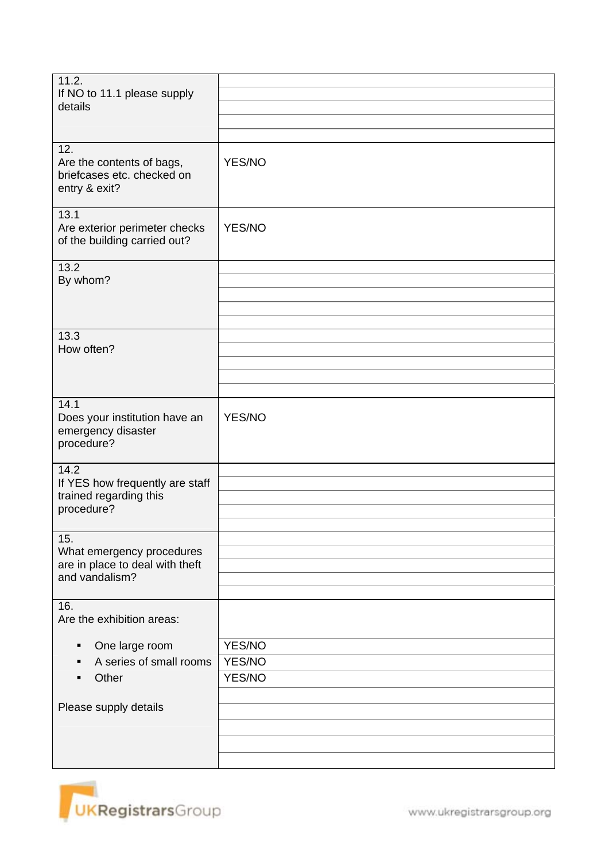| 11.2.<br>If NO to 11.1 please supply<br>details                                       |                            |
|---------------------------------------------------------------------------------------|----------------------------|
| 12.<br>Are the contents of bags,<br>briefcases etc. checked on<br>entry & exit?       | YES/NO                     |
| 13.1<br>Are exterior perimeter checks<br>of the building carried out?                 | YES/NO                     |
| 13.2<br>By whom?                                                                      |                            |
| 13.3<br>How often?                                                                    |                            |
| 14.1<br>Does your institution have an<br>emergency disaster<br>procedure?             | YES/NO                     |
| 14.2<br>If YES how frequently are staff<br>trained regarding this<br>procedure?       |                            |
| 15.<br>What emergency procedures<br>are in place to deal with theft<br>and vandalism? |                            |
| 16.<br>Are the exhibition areas:                                                      |                            |
| One large room<br>٠<br>A series of small rooms<br>п<br>Other<br>п                     | YES/NO<br>YES/NO<br>YES/NO |
| Please supply details                                                                 |                            |

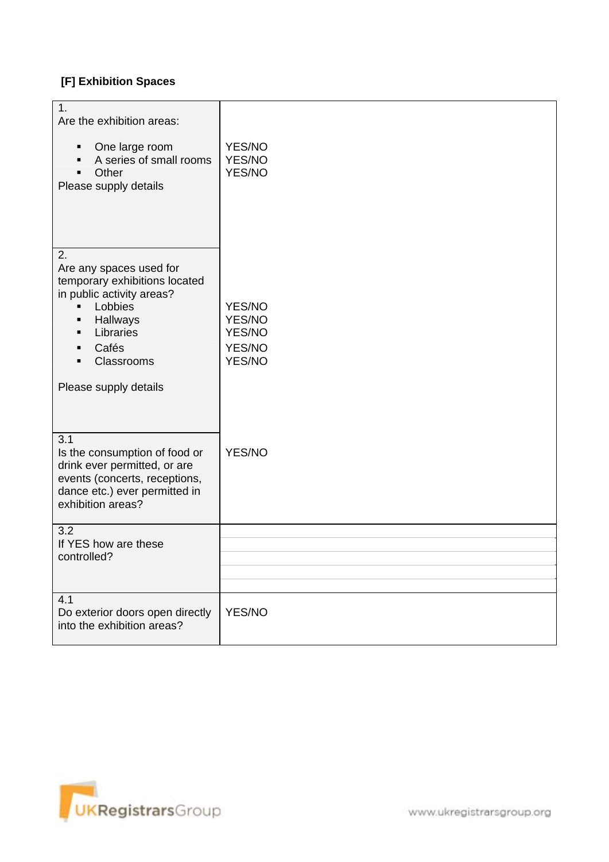### **[F] Exhibition Spaces**

| 1.<br>Are the exhibition areas:                                                                                                                                  |                                                |
|------------------------------------------------------------------------------------------------------------------------------------------------------------------|------------------------------------------------|
| One large room<br>٠<br>A series of small rooms<br>Other<br>Please supply details                                                                                 | YES/NO<br>YES/NO<br>YES/NO                     |
| 2.<br>Are any spaces used for<br>temporary exhibitions located<br>in public activity areas?<br>Lobbies<br>Hallways<br>٠<br>Libraries<br>Cafés<br>п<br>Classrooms | YES/NO<br>YES/NO<br>YES/NO<br>YES/NO<br>YES/NO |
| Please supply details                                                                                                                                            |                                                |
| 3.1<br>Is the consumption of food or<br>drink ever permitted, or are<br>events (concerts, receptions,<br>dance etc.) ever permitted in<br>exhibition areas?      | YES/NO                                         |
| 3.2<br>If YES how are these<br>controlled?                                                                                                                       |                                                |
|                                                                                                                                                                  |                                                |
| 4.1<br>Do exterior doors open directly<br>into the exhibition areas?                                                                                             | YES/NO                                         |

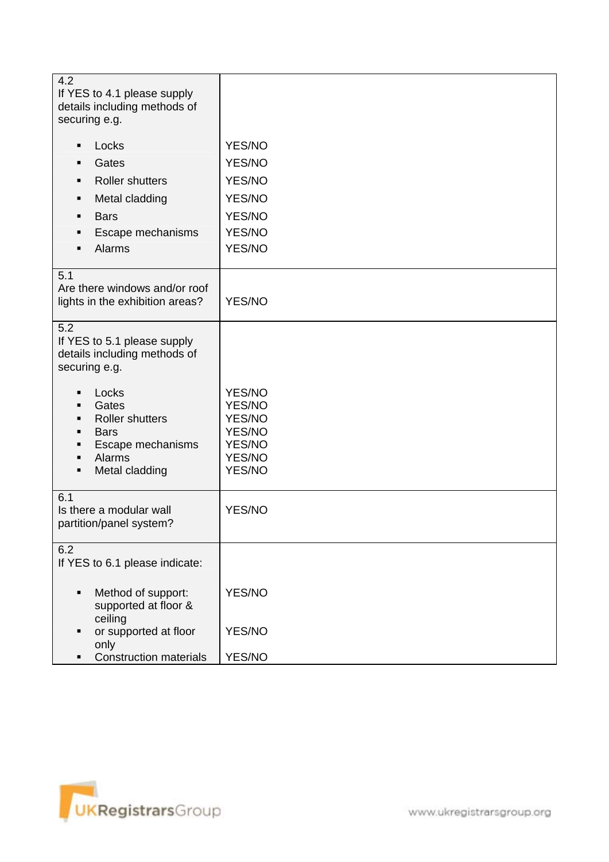| 4.2<br>If YES to 4.1 please supply<br>details including methods of<br>securing e.g.                                          |                                                                    |
|------------------------------------------------------------------------------------------------------------------------------|--------------------------------------------------------------------|
| Locks<br>п                                                                                                                   | YES/NO                                                             |
| Gates                                                                                                                        | YES/NO                                                             |
| <b>Roller shutters</b>                                                                                                       | YES/NO                                                             |
| Metal cladding<br>٠                                                                                                          | YES/NO                                                             |
| <b>Bars</b><br>п                                                                                                             | YES/NO                                                             |
| Escape mechanisms<br>п                                                                                                       | YES/NO                                                             |
| Alarms                                                                                                                       | YES/NO                                                             |
| 5.1<br>Are there windows and/or roof<br>lights in the exhibition areas?                                                      | YES/NO                                                             |
| 5.2<br>If YES to 5.1 please supply<br>details including methods of<br>securing e.g.                                          |                                                                    |
| Locks<br>٠<br>Gates<br>٠<br><b>Roller shutters</b><br>٠<br><b>Bars</b><br>Escape mechanisms<br>Alarms<br>Metal cladding<br>٠ | YES/NO<br>YES/NO<br>YES/NO<br>YES/NO<br>YES/NO<br>YES/NO<br>YES/NO |
| 6.1<br>Is there a modular wall<br>partition/panel system?                                                                    | YES/NO                                                             |
| 6.2<br>If YES to 6.1 please indicate:                                                                                        |                                                                    |
| Method of support:<br>٠<br>supported at floor &<br>ceiling                                                                   | YES/NO                                                             |
| or supported at floor<br>only                                                                                                | YES/NO                                                             |
| <b>Construction materials</b>                                                                                                | YES/NO                                                             |

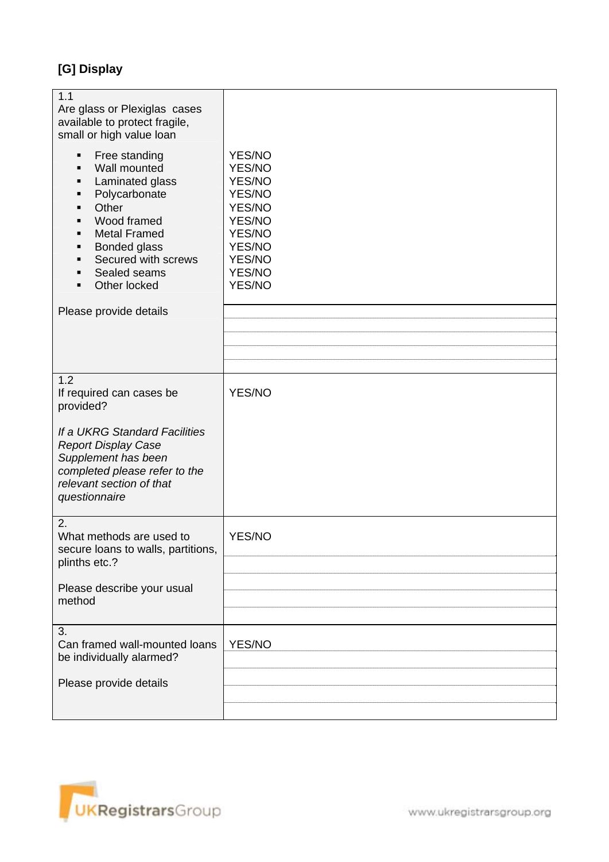# **[G] Display**

| 1.1<br>Are glass or Plexiglas cases<br>available to protect fragile,<br>small or high value loan<br>Free standing<br>٠<br>Wall mounted<br>$\blacksquare$<br>Laminated glass<br>Polycarbonate<br>٠<br>Other<br>Wood framed<br><b>Metal Framed</b><br>$\blacksquare$<br><b>Bonded glass</b><br>Secured with screws<br>п<br>Sealed seams<br>Other locked | YES/NO<br>YES/NO<br>YES/NO<br>YES/NO<br>YES/NO<br>YES/NO<br>YES/NO<br>YES/NO<br>YES/NO<br>YES/NO<br>YES/NO |
|-------------------------------------------------------------------------------------------------------------------------------------------------------------------------------------------------------------------------------------------------------------------------------------------------------------------------------------------------------|------------------------------------------------------------------------------------------------------------|
| Please provide details                                                                                                                                                                                                                                                                                                                                |                                                                                                            |
|                                                                                                                                                                                                                                                                                                                                                       |                                                                                                            |
|                                                                                                                                                                                                                                                                                                                                                       |                                                                                                            |
|                                                                                                                                                                                                                                                                                                                                                       |                                                                                                            |
|                                                                                                                                                                                                                                                                                                                                                       |                                                                                                            |
| 1.2                                                                                                                                                                                                                                                                                                                                                   |                                                                                                            |
| If required can cases be<br>provided?                                                                                                                                                                                                                                                                                                                 | YES/NO                                                                                                     |
| If a UKRG Standard Facilities<br><b>Report Display Case</b><br>Supplement has been<br>completed please refer to the<br>relevant section of that<br>questionnaire                                                                                                                                                                                      |                                                                                                            |
| 2.<br>What methods are used to<br>secure loans to walls, partitions,<br>plinths etc.?                                                                                                                                                                                                                                                                 | YES/NO                                                                                                     |
| Please describe your usual<br>method                                                                                                                                                                                                                                                                                                                  |                                                                                                            |
|                                                                                                                                                                                                                                                                                                                                                       |                                                                                                            |
| 3.<br>Can framed wall-mounted loans<br>be individually alarmed?                                                                                                                                                                                                                                                                                       | YES/NO                                                                                                     |
| Please provide details                                                                                                                                                                                                                                                                                                                                |                                                                                                            |
|                                                                                                                                                                                                                                                                                                                                                       |                                                                                                            |